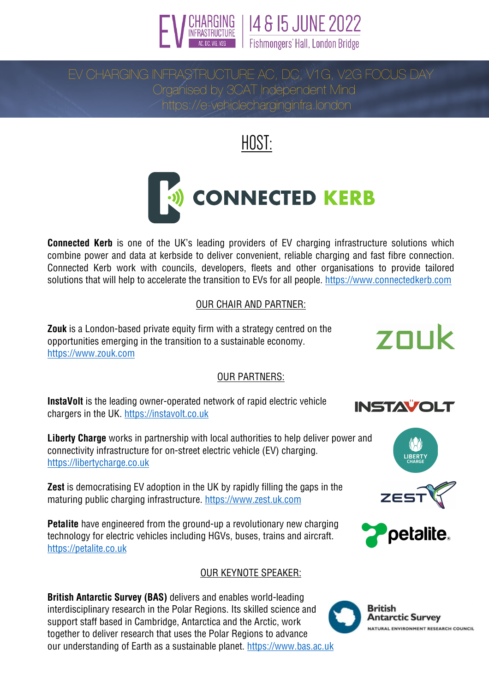

14 & 15 JUNE 2022

EV CHARGING INFRASTRUCTURE AC, DO, V1G, V2G FOCUS DAY<br>EV CHARGING INFRASTRUCTURE AC, DO, V1G, V2G FOCUS DAY Organised by 3CAT Independent Mind https://e-vehiclecharginginfra.london

# HOST:



**Connected Kerb** is one of the UK's leading providers of EV charging infrastructure solutions which combine power and data at kerbside to deliver convenient, reliable charging and fast fibre connection. Connected Kerb work with councils, developers, fleets and other organisations to provide tailored solutions that will help to accelerate the transition to EVs for all people. https://www.connectedkerb.com

### OUR CHAIR AND PARTNER:

**Zouk** is a London-based private equity firm with a strategy centred on the opportunities emerging in the transition to a sustainable economy. https://www.zouk.com

#### OUR PARTNERS:

**InstaVolt** is the leading owner-operated network of rapid electric vehicle chargers in the UK. https://instavolt.co.uk

**Liberty Charge** works in partnership with local authorities to help deliver power and connectivity infrastructure for on-street electric vehicle (EV) charging. https://libertycharge.co.uk

**Zest** is democratising EV adoption in the UK by rapidly filling the gaps in the maturing public charging infrastructure. https://www.zest.uk.com

**Petalite** have engineered from the ground-up a revolutionary new charging technology for electric vehicles including HGVs, buses, trains and aircraft. https://petalite.co.uk

### OUR KEYNOTE SPEAKER:

**British Antarctic Survey (BAS)** delivers and enables world-leading interdisciplinary research in the Polar Regions. Its skilled science and support staff based in Cambridge, Antarctica and the Arctic, work together to deliver research that uses the Polar Regions to advance our understanding of Earth as a sustainable planet. https://www.bas.ac.uk









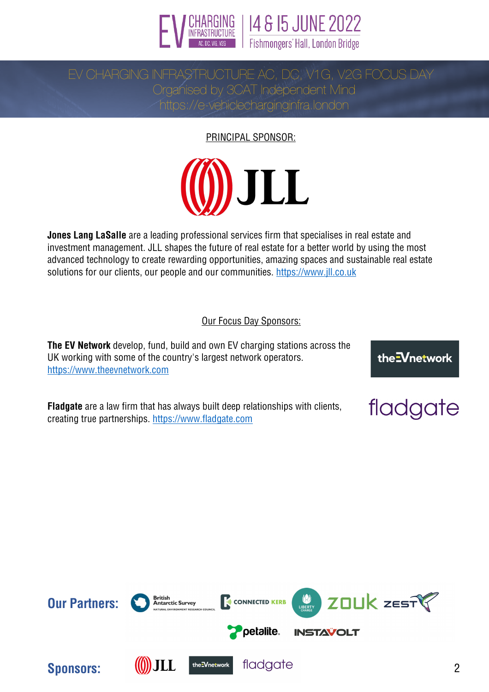

14 & 15 JUNE 2022 Fishmongers' Hall, London Bridge

Organised by 3CAT Independent Mind https://e-vehiclecharginginfra.london

PRINCIPAL SPONSOR:



**Jones Lang LaSalle** are a leading professional services firm that specialises in real estate and investment management. JLL shapes the future of real estate for a better world by using the most advanced technology to create rewarding opportunities, amazing spaces and sustainable real estate solutions for our clients, our people and our communities. https://www.jll.co.uk

### Our Focus Day Sponsors:

**The EV Network** develop, fund, build and own EV charging stations across the UK working with some of the country's largest network operators. https://www.theevnetwork.com

**Fladgate** are a law firm that has always built deep relationships with clients, creating true partnerships. https://www.fladgate.com

ZOUK ZESTY **British<br>Antarctic Survey Our Partners: ONNECTED KERB** petalite. **INSTAVOLT Sponsors:** (1) JLL the Vnetwork fladgate 2

the<sup>-</sup>Vnetwork

fladgate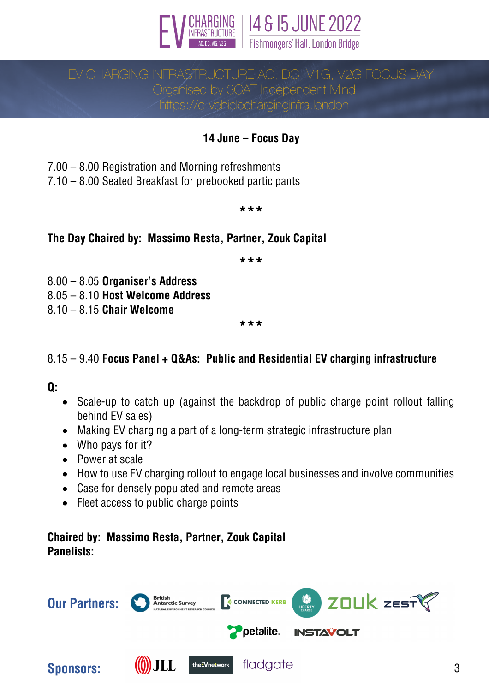



Organised by 3CAT Independent Mind https://e-vehiclecharginginfra.london

### **14 June – Focus Day**

7.00 – 8.00 Registration and Morning refreshments

7.10 – 8.00 Seated Breakfast for prebooked participants

#### **\*\*\***

### **The Day Chaired by: Massimo Resta, Partner, Zouk Capital**

**\*\*\***

8.00 – 8.05 **Organiser's Address**

8.05 – 8.10 **Host Welcome Address**

8.10 – 8.15 **Chair Welcome**

**\*\*\***

### 8.15 – 9.40 **Focus Panel + Q&As: Public and Residential EV charging infrastructure**

### **Q:**

- Scale-up to catch up (against the backdrop of public charge point rollout falling behind EV sales)
- Making EV charging a part of a long-term strategic infrastructure plan
- Who pays for it?
- Power at scale
- How to use EV charging rollout to engage local businesses and involve communities
- Case for densely populated and remote areas
- Fleet access to public charge points

### **Chaired by: Massimo Resta, Partner, Zouk Capital Panelists:**

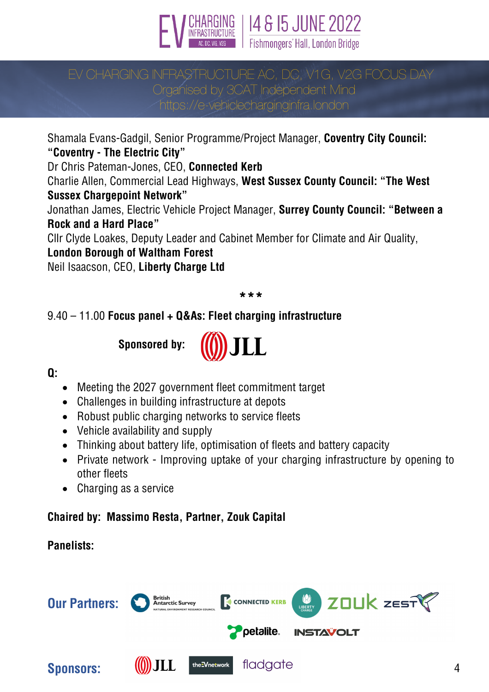



# Organised by 3CAT Independent Mind

https://e-vehiclecharginginfra.london

Shamala Evans-Gadgil, Senior Programme/Project Manager, **Coventry City Council: "Coventry - The Electric City"**

Dr Chris Pateman-Jones, CEO, **Connected Kerb**

Charlie Allen, Commercial Lead Highways, **West Sussex County Council: "The West Sussex Chargepoint Network"**

Jonathan James, Electric Vehicle Project Manager, **Surrey County Council: "Between a Rock and a Hard Place"**

Cllr Clyde Loakes, Deputy Leader and Cabinet Member for Climate and Air Quality,

### **London Borough of Waltham Forest**

Neil Isaacson, CEO, **Liberty Charge Ltd**

### **\*\*\***

### 9.40 – 11.00 **Focus panel + Q&As: Fleet charging infrastructure**

**Sponsored by:**



### **Q:**

- Meeting the 2027 government fleet commitment target
- Challenges in building infrastructure at depots
- Robust public charging networks to service fleets
- Vehicle availability and supply
- Thinking about battery life, optimisation of fleets and battery capacity
- Private network Improving uptake of your charging infrastructure by opening to other fleets
- Charging as a service

### **Chaired by: Massimo Resta, Partner, Zouk Capital**

### **Panelists:**

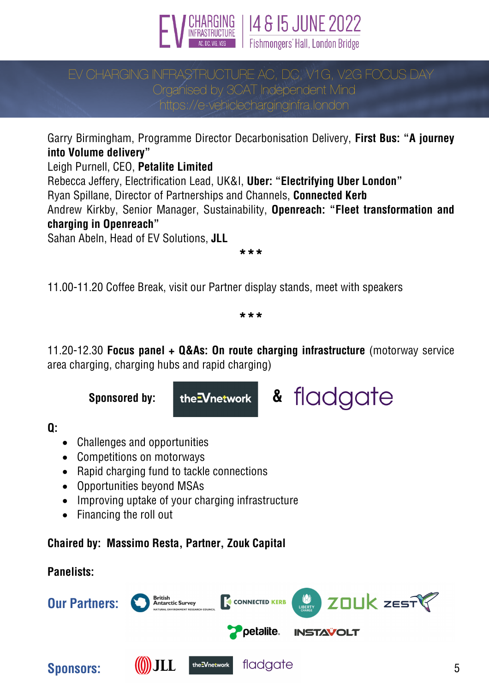

14 & 15 JUNE 2022 Fishmongers' Hall, London Bridge

# Organised by 3CAT Independent Mind

https://e-vehiclecharginginfra.london

Garry Birmingham, Programme Director Decarbonisation Delivery, **First Bus: "A journey into Volume delivery"**

Leigh Purnell, CEO, **Petalite Limited**

Rebecca Jeffery, Electrification Lead, UK&I, **Uber: "Electrifying Uber London"** Ryan Spillane, Director of Partnerships and Channels, **Connected Kerb** Andrew Kirkby, Senior Manager, Sustainability, **Openreach: "Fleet transformation and charging in Openreach"**

Sahan Abeln, Head of EV Solutions, **JLL**

**\*\*\***

11.00-11.20 Coffee Break, visit our Partner display stands, meet with speakers

**\*\*\***

11.20-12.30 **Focus panel + Q&As: On route charging infrastructure** (motorway service area charging, charging hubs and rapid charging)



**Q:**

- Challenges and opportunities
- Competitions on motorways
- Rapid charging fund to tackle connections
- Opportunities beyond MSAs
- Improving uptake of your charging infrastructure
- Financing the roll out

**Chaired by: Massimo Resta, Partner, Zouk Capital**

# **Panelists:**

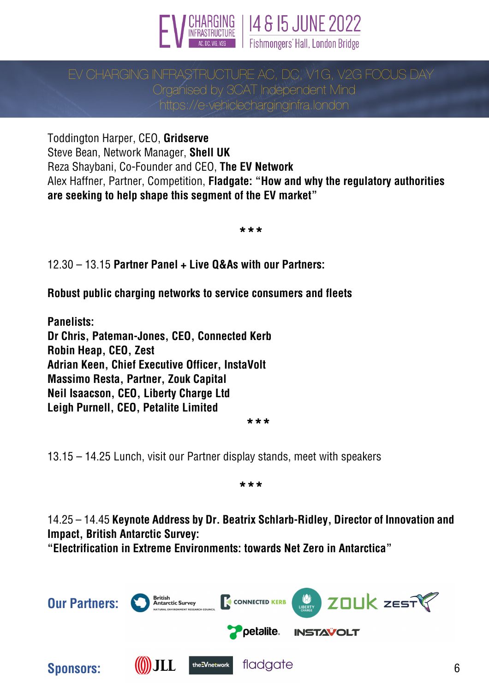

14 & 15 JUNE 2022 Fishmongers' Hall, London Bridge

# Organised by 3CAT Independent Mind https://e-vehiclecharginginfra.london

Toddington Harper, CEO, **Gridserve** Steve Bean, Network Manager, **Shell UK** Reza Shaybani, Co-Founder and CEO, **The EV Network** Alex Haffner, Partner, Competition, **Fladgate: "How and why the regulatory authorities are seeking to help shape this segment of the EV market"**

**\*\*\***

12.30 – 13.15 **Partner Panel + Live Q&As with our Partners:**

**Robust public charging networks to service consumers and fleets**

**Panelists: Dr Chris, Pateman-Jones, CEO, Connected Kerb Robin Heap, CEO, Zest Adrian Keen, Chief Executive Officer, InstaVolt Massimo Resta, Partner, Zouk Capital Neil Isaacson, CEO, Liberty Charge Ltd Leigh Purnell, CEO, Petalite Limited**

**\*\*\***

13.15 – 14.25 Lunch, visit our Partner display stands, meet with speakers

**\*\*\***

14.25 – 14.45 **Keynote Address by Dr. Beatrix Schlarb-Ridley, Director of Innovation and Impact, British Antarctic Survey:**

**"Electrification in Extreme Environments: towards Net Zero in Antarctica"**

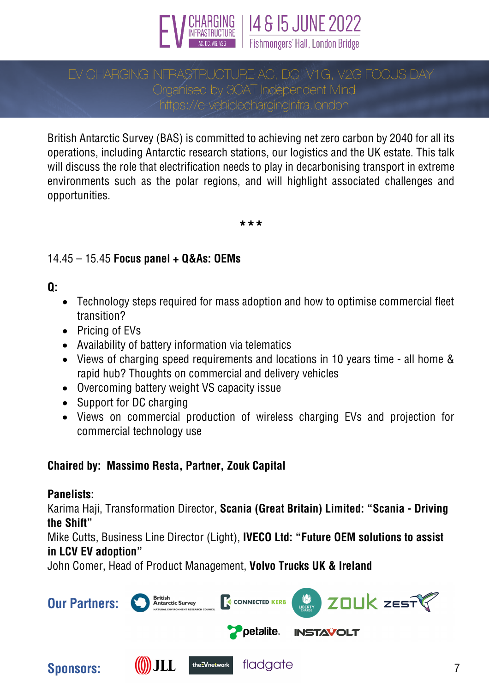

# Organised by 3CAT Independent Mind https://e-vehiclecharginginfra.london

British Antarctic Survey (BAS) is committed to achieving net zero carbon by 2040 for all its operations, including Antarctic research stations, our logistics and the UK estate. This talk will discuss the role that electrification needs to play in decarbonising transport in extreme environments such as the polar regions, and will highlight associated challenges and opportunities.

**\*\*\***

### 14.45 – 15.45 **Focus panel + Q&As: OEMs**

### **Q:**

- Technology steps required for mass adoption and how to optimise commercial fleet transition?
- Pricing of EVs
- Availability of battery information via telematics
- Views of charging speed requirements and locations in 10 years time all home & rapid hub? Thoughts on commercial and delivery vehicles
- Overcoming battery weight VS capacity issue
- Support for DC charging
- Views on commercial production of wireless charging EVs and projection for commercial technology use

### **Chaired by: Massimo Resta, Partner, Zouk Capital**

### **Panelists:**

Karima Haji, Transformation Director, **Scania (Great Britain) Limited: "Scania - Driving the Shift"**

Mike Cutts, Business Line Director (Light), **IVECO Ltd: "Future OEM solutions to assist in LCV EV adoption"**

John Comer, Head of Product Management, **Volvo Trucks UK & Ireland**

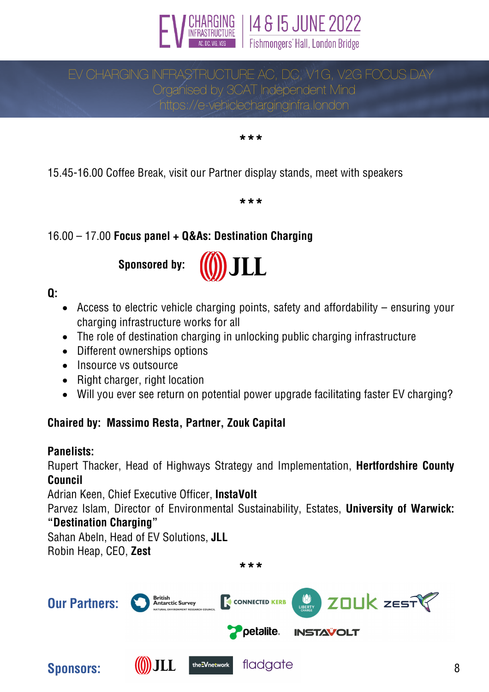

# EV CHARGING INFRASTRUCTURE AC, DC, V1G, V2G FOCUS DAY Organised by 3CAT Independent Mind https://e-vehiclecharginginfra.london

**\*\*\***

15.45-16.00 Coffee Break, visit our Partner display stands, meet with speakers

**\*\*\***

# 16.00 – 17.00 **Focus panel + Q&As: Destination Charging**

**Sponsored by:**



**Q:**

- Access to electric vehicle charging points, safety and affordability ensuring your charging infrastructure works for all
- The role of destination charging in unlocking public charging infrastructure
- Different ownerships options
- Insource vs outsource
- Right charger, right location
- Will you ever see return on potential power upgrade facilitating faster EV charging?

### **Chaired by: Massimo Resta, Partner, Zouk Capital**

### **Panelists:**

Rupert Thacker, Head of Highways Strategy and Implementation, **Hertfordshire County Council**

Adrian Keen, Chief Executive Officer, **InstaVolt**

Parvez Islam, Director of Environmental Sustainability, Estates, **University of Warwick: "Destination Charging"**

Sahan Abeln, Head of EV Solutions, **JLL** Robin Heap, CEO, **Zest**

**\*\*\***